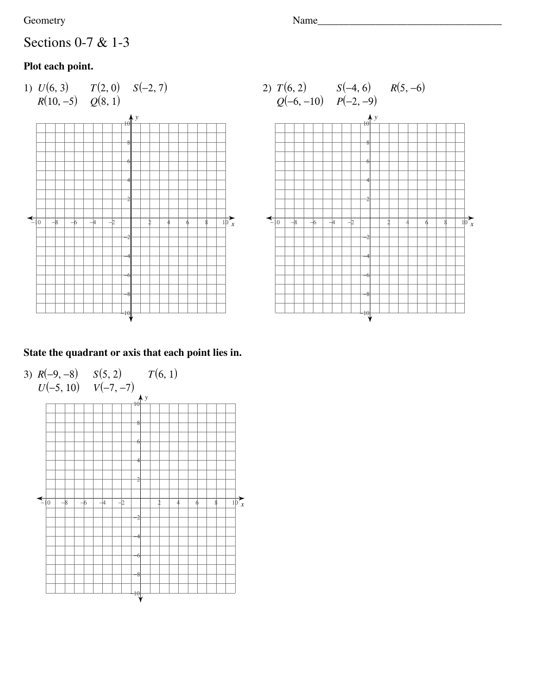#### Geometry Name\_\_\_\_\_\_\_\_\_\_\_\_\_\_\_\_\_\_\_\_\_\_\_\_\_\_\_\_\_\_\_\_\_\_\_

# Sections 0-7 & 1-3

### **Plot each point.**





### **State the quadrant or axis that each point lies in.**

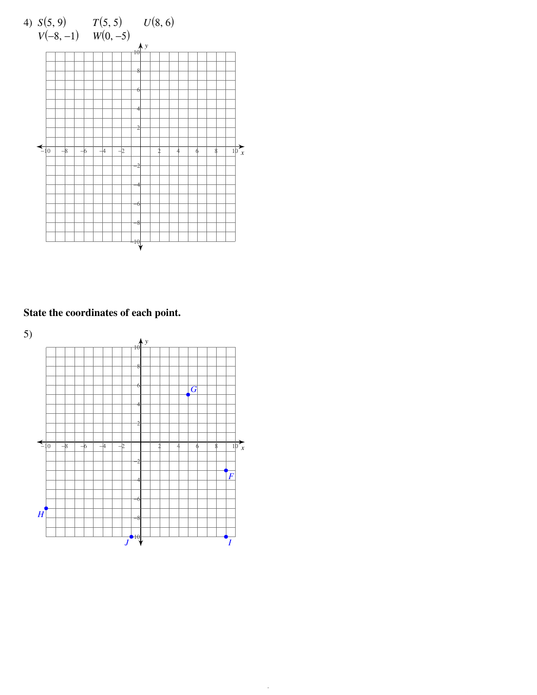

## State the coordinates of each point.

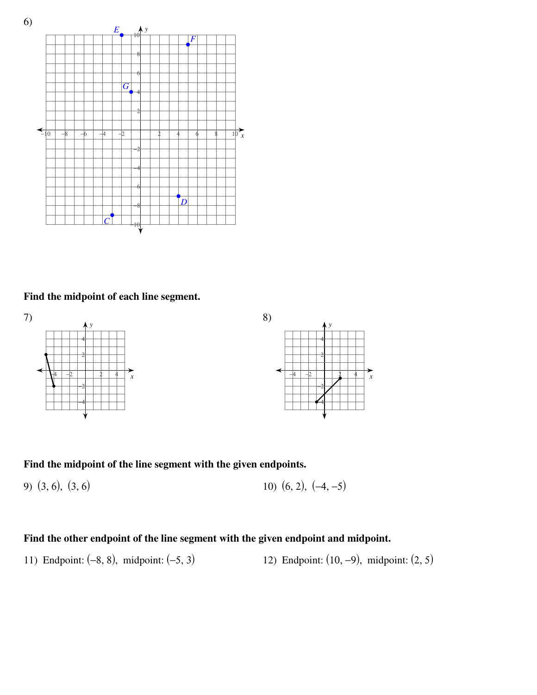

#### Find the midpoint of each line segment.



#### Find the midpoint of the line segment with the given endpoints.

10)  $(6, 2), (-4, -5)$ 9)  $(3, 6)$ ,  $(3, 6)$ 

#### Find the other endpoint of the line segment with the given endpoint and midpoint.

11) Endpoint:  $(-8, 8)$ , midpoint:  $(-5, 3)$ 12) Endpoint:  $(10, -9)$ , midpoint:  $(2, 5)$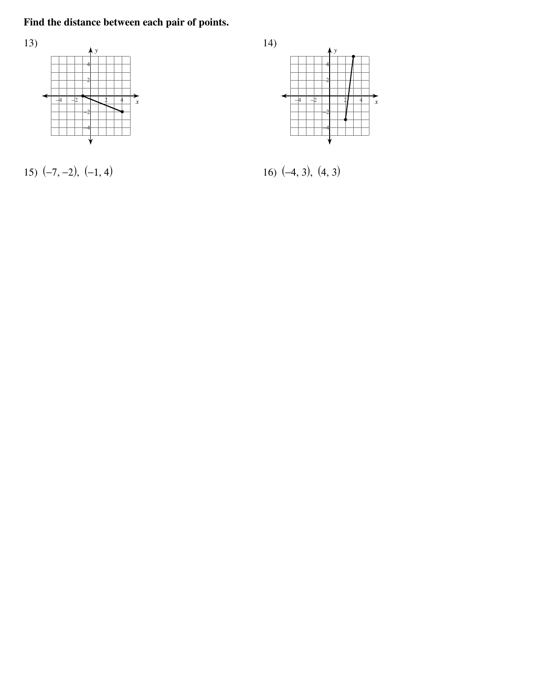# Find the distance between each pair of points.



15)  $(-7, -2)$ ,  $(-1, 4)$ 



16)  $(-4, 3)$ ,  $(4, 3)$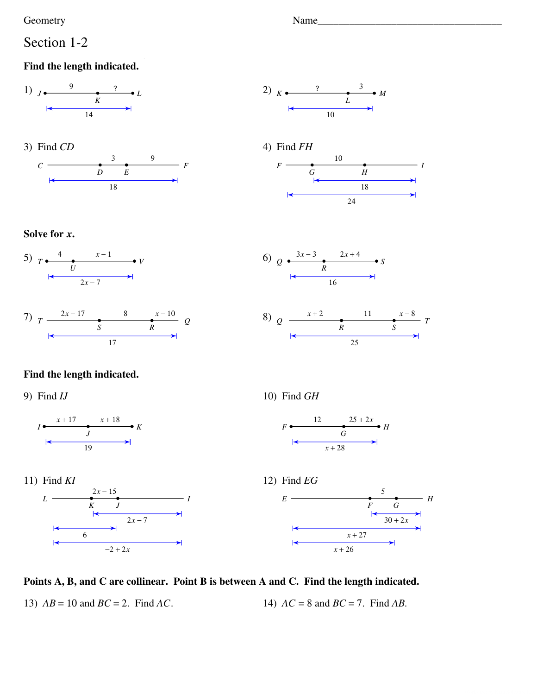Geometry

### Section 1-2

#### Find the length indicated.













#### Solve for x.





### Find the length indicated.

9) Find  $IJ$ 











#### Points A, B, and C are collinear. Point B is between A and C. Find the length indicated.

13)  $AB = 10$  and  $BC = 2$ . Find AC.

14)  $AC = 8$  and  $BC = 7$ . Find AB.

Name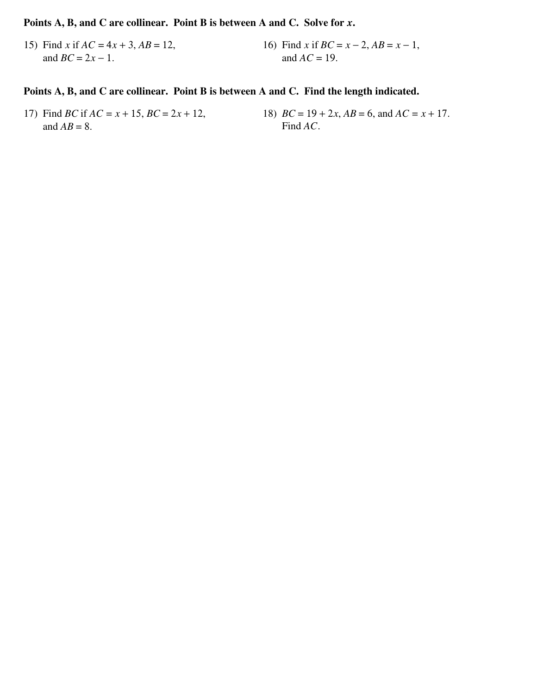#### Points A, B, and C are collinear. Point B is between A and C. Solve for x.

15) Find x if  $AC = 4x + 3$ ,  $AB = 12$ , 16) Find x if  $BC = x - 2$ ,  $AB = x - 1$ , and  $BC = 2x - 1$ . and  $AC = 19$ .

#### Points A, B, and C are collinear. Point B is between A and C. Find the length indicated.

- 17) Find *BC* if  $AC = x + 15$ ,  $BC = 2x + 12$ , and  $AB = 8$ .
- 18)  $BC = 19 + 2x$ ,  $AB = 6$ , and  $AC = x + 17$ . Find AC.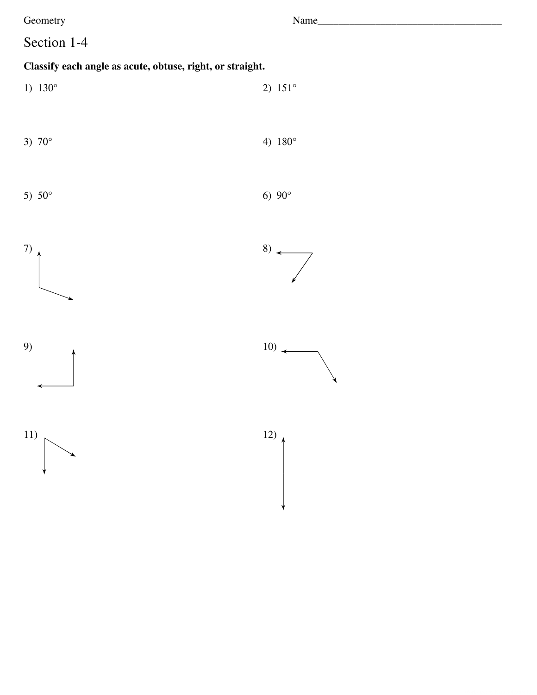Geometry

# Section 1-4

## Classify each angle as acute, obtuse, right, or straight.

1)  $130^{\circ}$ 2)  $151^{\circ}$ 



5)  $50^{\circ}$ 

6)  $90^{\circ}$ 











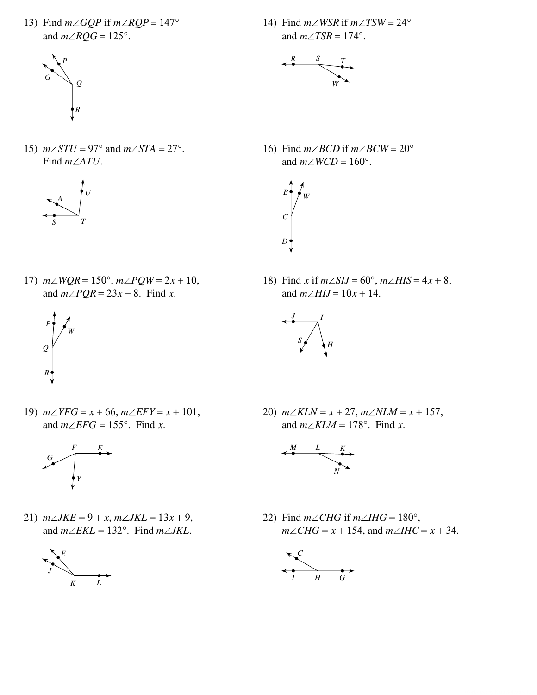13) Find  $m \angle GQP$  if  $m \angle RQP = 147^\circ$ and  $m\angle RQG = 125^\circ$ .



15)  $m\angle STU = 97^\circ$  and  $m\angle STA = 27^\circ$ . Find  $m\angle ATU$ .



17)  $m\angle WQR = 150^{\circ}$ ,  $m\angle PQW = 2x + 10$ , and  $m\angle PQR = 23x - 8$ . Find x.



19)  $m\angle YFG = x + 66, m\angle EFY = x + 101,$ and  $m\angle EFG = 155^{\circ}$ . Find x.



21)  $m\angle JKE = 9 + x$ ,  $m\angle JKL = 13x + 9$ , and  $m\angle EKL = 132^{\circ}$ . Find  $m\angle JKL$ .



14) Find  $m\angle WSR$  if  $m\angle TSW = 24^{\circ}$ and  $m\angle TSR = 174^\circ$ .



16) Find  $m\angle BCD$  if  $m\angle BCW = 20^\circ$ and  $m\angle WCD = 160^\circ$ .



18) Find x if  $m\angle SIJ = 60^\circ$ ,  $m\angle HIS = 4x + 8$ , and  $m\angle HIJ = 10x + 14$ .



20)  $m\angle KLN = x + 27$ ,  $m\angle NLM = x + 157$ , and  $m\angle KLM = 178^\circ$ . Find x.



22) Find  $m\angle CHG$  if  $m\angle IHG = 180^\circ$ ,  $m\angle CHG = x + 154$ , and  $m\angle HIC = x + 34$ .

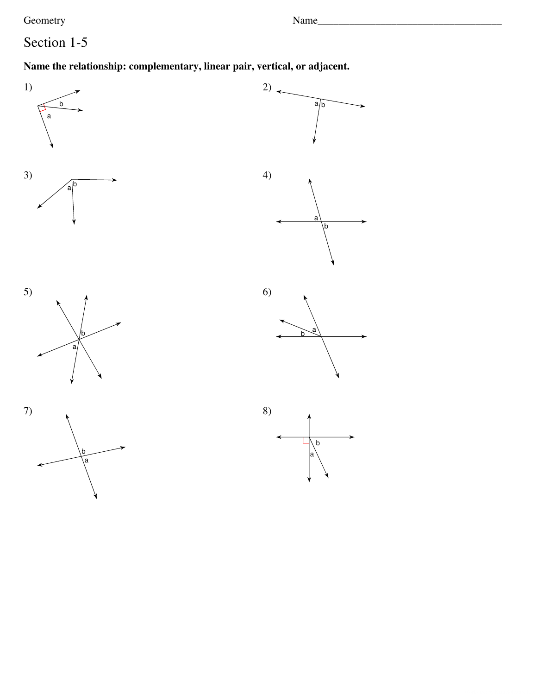Geometry

# Section 1-5

## Name the relationship: complementary, linear pair, vertical, or adjacent.

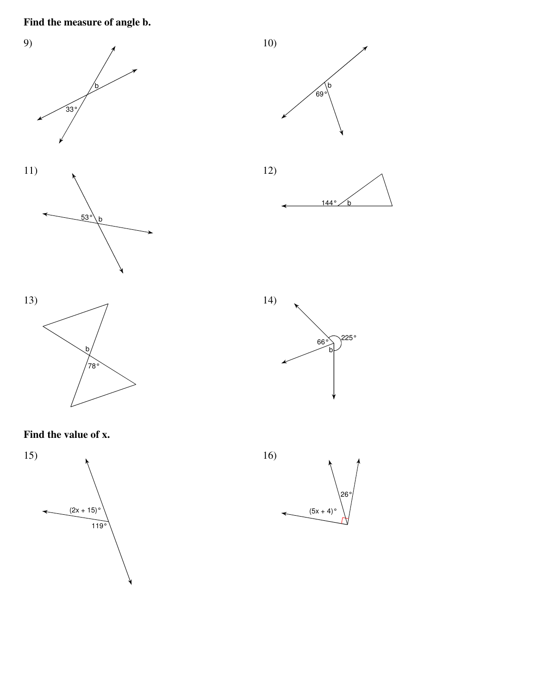# Find the measure of angle b.



#### Find the value of x.